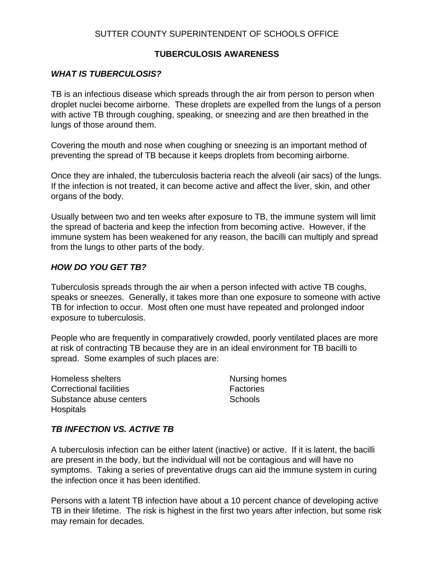# **TUBERCULOSIS AWARENESS**

# *WHAT IS TUBERCULOSIS?*

TB is an infectious disease which spreads through the air from person to person when droplet nuclei become airborne. These droplets are expelled from the lungs of a person with active TB through coughing, speaking, or sneezing and are then breathed in the lungs of those around them.

Covering the mouth and nose when coughing or sneezing is an important method of preventing the spread of TB because it keeps droplets from becoming airborne.

Once they are inhaled, the tuberculosis bacteria reach the alveoli (air sacs) of the lungs. If the infection is not treated, it can become active and affect the liver, skin, and other organs of the body.

Usually between two and ten weeks after exposure to TB, the immune system will limit the spread of bacteria and keep the infection from becoming active. However, if the immune system has been weakened for any reason, the bacilli can multiply and spread from the lungs to other parts of the body.

### *HOW DO YOU GET TB?*

Tuberculosis spreads through the air when a person infected with active TB coughs, speaks or sneezes. Generally, it takes more than one exposure to someone with active TB for infection to occur. Most often one must have repeated and prolonged indoor exposure to tuberculosis.

People who are frequently in comparatively crowded, poorly ventilated places are more at risk of contracting TB because they are in an ideal environment for TB bacilli to spread. Some examples of such places are:

Homeless shelters Nursing homes Correctional facilities **Factories** Substance abuse centers **Substance** abuse centers **Schools Hospitals** 

# *TB INFECTION VS. ACTIVE TB*

A tuberculosis infection can be either latent (inactive) or active. If it is latent, the bacilli are present in the body, but the individual will not be contagious and will have no symptoms. Taking a series of preventative drugs can aid the immune system in curing the infection once it has been identified.

Persons with a latent TB infection have about a 10 percent chance of developing active TB in their lifetime. The risk is highest in the first two years after infection, but some risk may remain for decades.